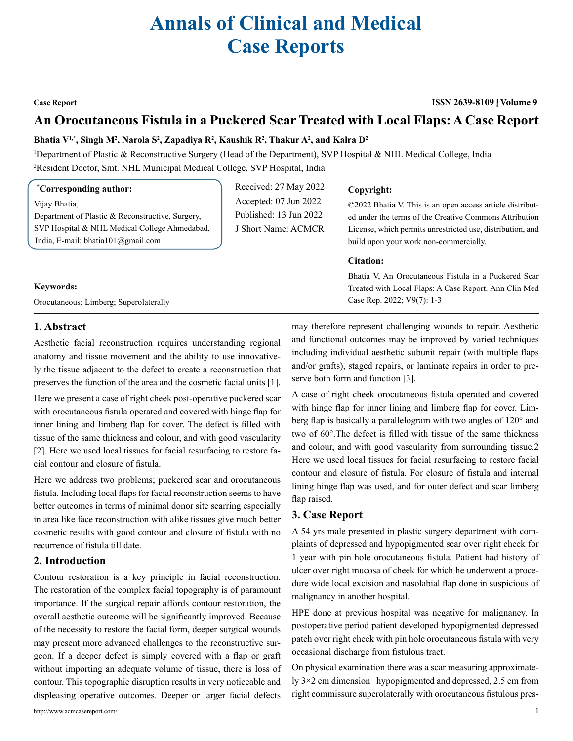# **Annals of Clinical and Medical Case Reports**

#### **Case Report ISSN 2639-8109 Volume 9**

# **An Orocutaneous Fistula in a Puckered Scar Treated with Local Flaps: A Case Report**

#### Bhatia V<sup>1,\*</sup>, Singh M<sup>2</sup>, Narola S<sup>2</sup>, Zapadiya R<sup>2</sup>, Kaushik R<sup>2</sup>, Thakur A<sup>2</sup>, and Kalra D<sup>2</sup>

1 Department of Plastic & Reconstructive Surgery (Head of the Department), SVP Hospital & NHL Medical College, India 2 Resident Doctor, Smt. NHL Municipal Medical College, SVP Hospital, India

#### **\* Corresponding author:**

Vijay Bhatia, Department of Plastic & Reconstructive, Surgery, SVP Hospital & NHL Medical College Ahmedabad, India, E-mail: bhatia101@gmail.com

Received: 27 May 2022 Accepted: 07 Jun 2022 Published: 13 Jun 2022 J Short Name: ACMCR

#### **Copyright:**

©2022 Bhatia V. This is an open access article distributed under the terms of the Creative Commons Attribution License, which permits unrestricted use, distribution, and build upon your work non-commercially.

#### **Citation:**

Bhatia V, An Orocutaneous Fistula in a Puckered Scar Treated with Local Flaps: A Case Report. Ann Clin Med Case Rep. 2022; V9(7): 1-3

#### **Keywords:**

Orocutaneous; Limberg; Superolaterally

# **1. Abstract**

Aesthetic facial reconstruction requires understanding regional anatomy and tissue movement and the ability to use innovatively the tissue adjacent to the defect to create a reconstruction that preserves the function of the area and the cosmetic facial units [1].

Here we present a case of right cheek post-operative puckered scar with orocutaneous fistula operated and covered with hinge flap for inner lining and limberg flap for cover. The defect is filled with tissue of the same thickness and colour, and with good vascularity [2]. Here we used local tissues for facial resurfacing to restore facial contour and closure of fistula.

Here we address two problems; puckered scar and orocutaneous fistula. Including local flaps for facial reconstruction seems to have better outcomes in terms of minimal donor site scarring especially in area like face reconstruction with alike tissues give much better cosmetic results with good contour and closure of fistula with no recurrence of fistula till date.

# **2. Introduction**

Contour restoration is a key principle in facial reconstruction. The restoration of the complex facial topography is of paramount importance. If the surgical repair affords contour restoration, the overall aesthetic outcome will be significantly improved. Because of the necessity to restore the facial form, deeper surgical wounds may present more advanced challenges to the reconstructive surgeon. If a deeper defect is simply covered with a flap or graft without importing an adequate volume of tissue, there is loss of contour. This topographic disruption results in very noticeable and displeasing operative outcomes. Deeper or larger facial defects

may therefore represent challenging wounds to repair. Aesthetic and functional outcomes may be improved by varied techniques including individual aesthetic subunit repair (with multiple flaps and/or grafts), staged repairs, or laminate repairs in order to preserve both form and function [3].

A case of right cheek orocutaneous fistula operated and covered with hinge flap for inner lining and limberg flap for cover. Limberg flap is basically a parallelogram with two angles of 120° and two of 60°.The defect is filled with tissue of the same thickness and colour, and with good vascularity from surrounding tissue.2 Here we used local tissues for facial resurfacing to restore facial contour and closure of fistula. For closure of fistula and internal lining hinge flap was used, and for outer defect and scar limberg flap raised.

### **3. Case Report**

A 54 yrs male presented in plastic surgery department with complaints of depressed and hypopigmented scar over right cheek for 1 year with pin hole orocutaneous fistula. Patient had history of ulcer over right mucosa of cheek for which he underwent a procedure wide local excision and nasolabial flap done in suspicious of malignancy in another hospital.

HPE done at previous hospital was negative for malignancy. In postoperative period patient developed hypopigmented depressed patch over right cheek with pin hole orocutaneous fistula with very occasional discharge from fistulous tract.

On physical examination there was a scar measuring approximately 3×2 cm dimension hypopigmented and depressed, 2.5 cm from right commissure superolaterally with orocutaneous fistulous pres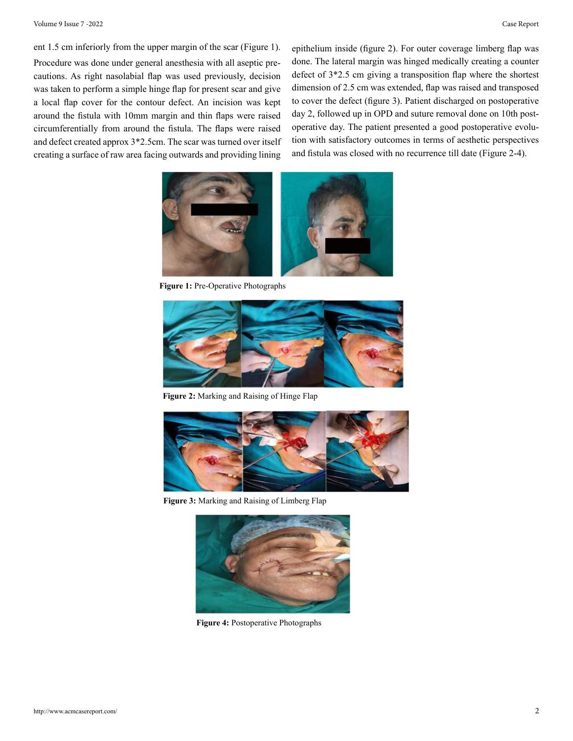ent 1.5 cm inferiorly from the upper margin of the scar (Figure 1). Procedure was done under general anesthesia with all aseptic precautions. As right nasolabial flap was used previously, decision was taken to perform a simple hinge flap for present scar and give a local flap cover for the contour defect. An incision was kept around the fistula with 10mm margin and thin flaps were raised circumferentially from around the fistula. The flaps were raised and defect created approx 3\*2.5cm. The scar was turned over itself creating a surface of raw area facing outwards and providing lining

epithelium inside (figure 2). For outer coverage limberg flap was done. The lateral margin was hinged medically creating a counter defect of 3\*2.5 cm giving a transposition flap where the shortest dimension of 2.5 cm was extended, flap was raised and transposed to cover the defect (figure 3). Patient discharged on postoperative day 2, followed up in OPD and suture removal done on 10th postoperative day. The patient presented a good postoperative evolution with satisfactory outcomes in terms of aesthetic perspectives and fistula was closed with no recurrence till date (Figure 2-4).



**Figure 1:** Pre-Operative Photographs



**Figure 2:** Marking and Raising of Hinge Flap



**Figure 3:** Marking and Raising of Limberg Flap



**Figure 4:** Postoperative Photographs